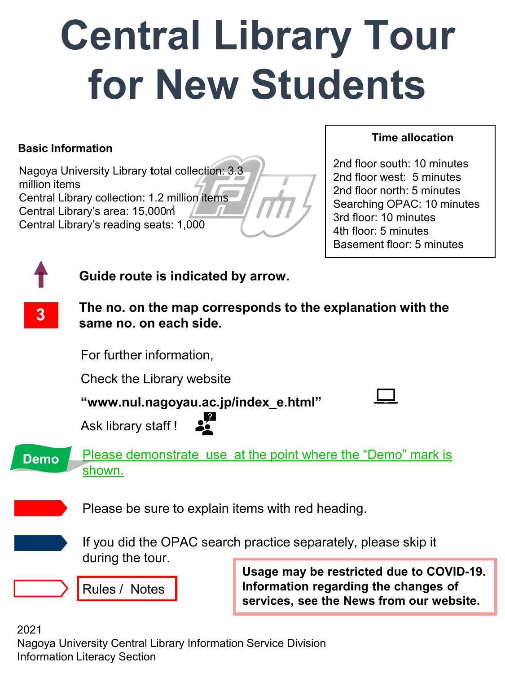## **Central Library Tour for New Students**

#### **Basic Information**

Nagoya University Library **t**otal collection: 3.3 million items Central Library collection: 1.2 million items Central Library's area: 15,000㎡ Central Library's reading seats: 1,000

#### **Time allocation**

2nd floor south: 10 minutes 2nd floor west: 5 minutes 2nd floor north: 5 minutes Searching OPAC: 10 minutes 3rd floor: 10 minutes 4th floor: 5 minutes Basement floor: 5 minutes



**3**

**Guide route is indicated by arrow.**

**The no. on the map corresponds to the explanation with the same no. on each side.** 

For further information,

Check the Library website

**"www.nul.nagoyau.ac.jp/index\_e.html"**

Ask library staff !



Please be sure to explain items with red heading.

If you did the OPAC search practice separately, please skip it during the tour.

Rules / Notes

**Usage may be restricted due to COVID-19. Information regarding the changes of services, see the News from our website.** 

2021

Nagoya University Central Library Information Service Division Information Literacy Section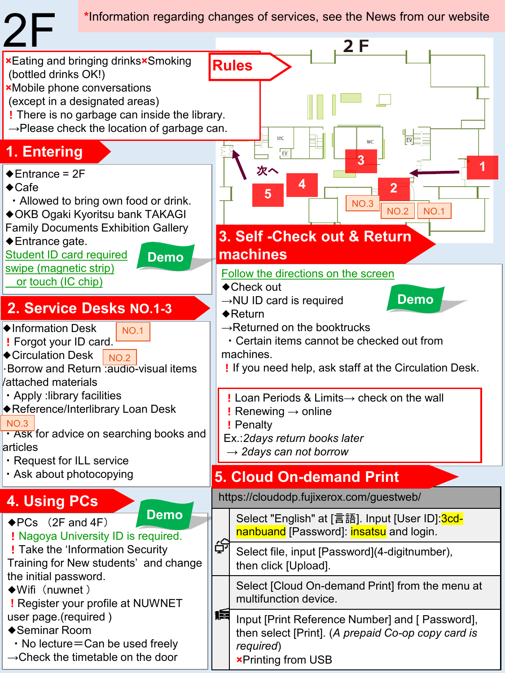**\***Information regarding changes of services, see the News from our website

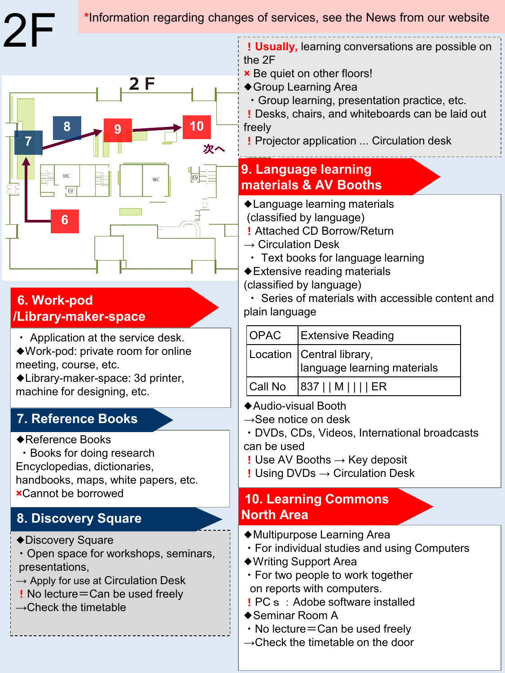#### **\***Information regarding changes of services, see the News from our website



### **6. Work-pod /Library-maker-space**

・ Application at the service desk. ◆Work-pod: private room for online

meeting, course, etc.

◆Library-maker-space: 3d printer, machine for designing, etc.

### **7. Reference Books**

- ◆Reference Books
- ・Books for doing research Encyclopedias, dictionaries, handbooks, maps, white papers, etc. **×**Cannot be borrowed

## **8. Discovery Square**

◆Discovery Square

- ・Open space for workshops, seminars, presentations,
- $\rightarrow$  Apply for use at Circulation Desk
- ! No lecture=Can be used freely
- $\rightarrow$  Check the timetable

!**Usually,** learning conversations are possible on the 2F

- **×** Be quiet on other floors!
- ◆Group Learning Area
- ・Group learning, presentation practice, etc.

! Desks, chairs, and whiteboards can be laid out freely

! Projector application ... Circulation desk

### **9. Language learning materials & AV Booths**

- ◆Language learning materials (classified by language)
- ! Attached CD Borrow/Return
- $\rightarrow$  Circulation Desk
	- ・ Text books for language learning
- ◆Extensive reading materials
- (classified by language)
- ・ Series of materials with accessible content and plain language

| <b>OPAC</b> | <b>Extensive Reading</b>                                 |
|-------------|----------------------------------------------------------|
|             | Location Central library,<br>Ianguage learning materials |
| Call No     | $ 837 $   M         ER                                   |

- ◆Audio-visual Booth
- $\rightarrow$ See notice on desk
- ・DVDs, CDs, Videos, International broadcasts can be used
- ! Use AV Booths  $\rightarrow$  Key deposit
- ! Using DVDs → Circulation Desk

### **10. Learning Commons North Area**

- ◆Multipurpose Learning Area
- ・For individual studies and using Computers
- ◆Writing Support Area
- ・For two people to work together on reports with computers.
- ! PC s: Adobe software installed
- ◆Seminar Room A
- ・No lecture=Can be used freely
- $\rightarrow$ Check the timetable on the door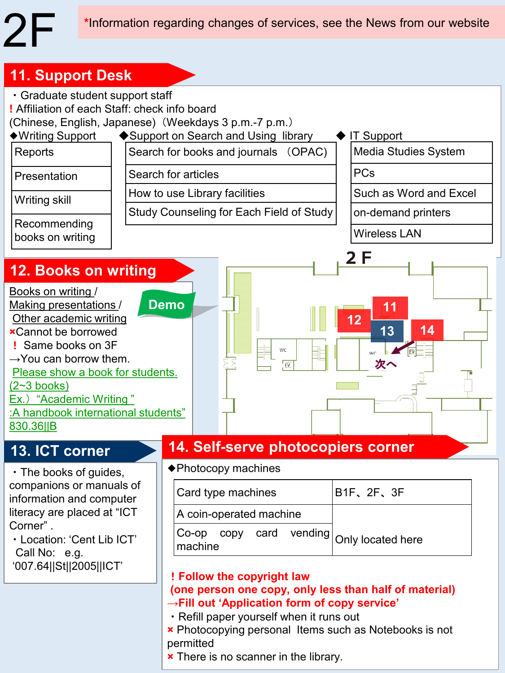### **11. Support Desk**



**×** There is no scanner in the library.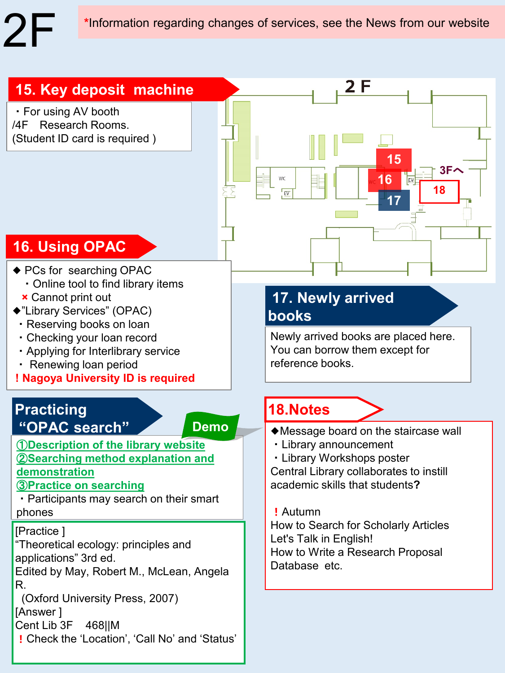**\***Information regarding changes of services, see the News from our website

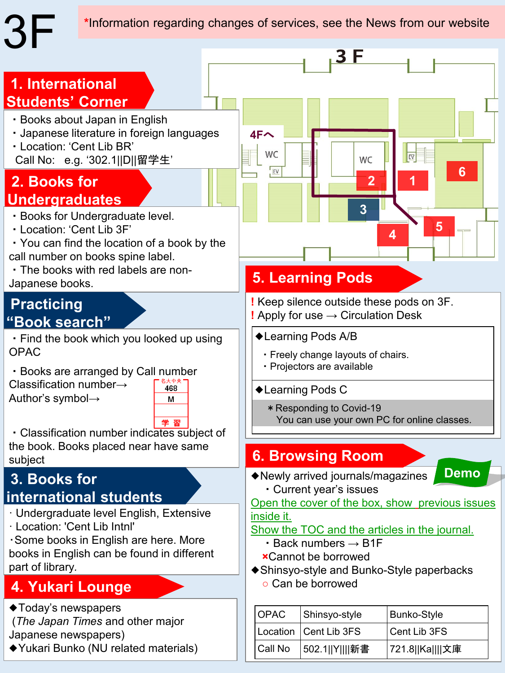**\***Information regarding changes of services, see the News from our website



Call No | 502.1||Y||||新書 | 721.8||Ka||||文庫

◆Yukari Bunko (NU related materials)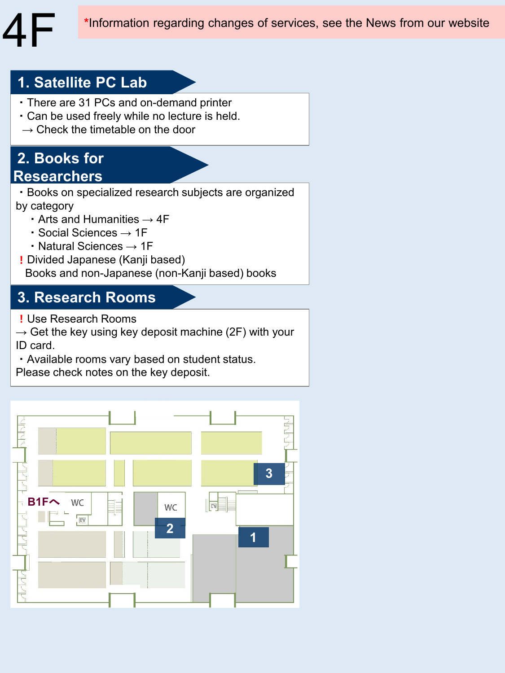## **1. Satellite PC Lab**

- ・There are 31 PCs and on-demand printer
- ・Can be used freely while no lecture is held.
- $\rightarrow$  Check the timetable on the door

## **2. Books for Researchers**

- ・Books on specialized research subjects are organized by category
	- Arts and Humanities  $\rightarrow$  4F
	- ・Social Sciences → 1F
	- ・Natural Sciences → 1F
- ! Divided Japanese (Kanji based)

Books and non-Japanese (non-Kanji based) books

## **3. Research Rooms**

! Use Research Rooms

 $\rightarrow$  Get the key using key deposit machine (2F) with your ID card.

・Available rooms vary based on student status.

Please check notes on the key deposit.